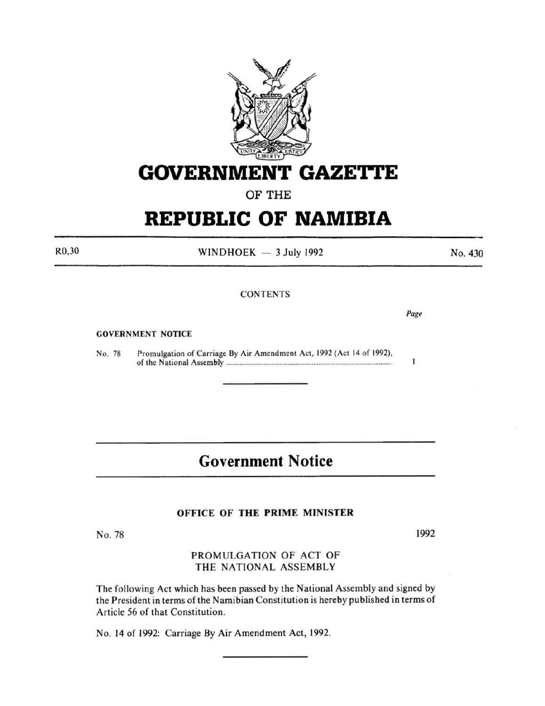

# **GOVERNMENT GAZETTE**

OF THE

# **REPUBLIC OF NAMIBIA**

R0,30

 $WINDHOEK - 3 July 1992$ 

**CONTENTS** 

GOVERNMENT NOTICE

No. 78 Promulgation of Carriage By Air Amendment Act. 1992 (Act 14 of 1992), of the National Assembly ................................................................................................ .

### **Government Notice**

#### OFFICE OF THE PRIME MINISTER

No. 78

1992

PROMULGATION OF ACT OF THE NATIONAL ASSEMBLY

The following Act which has been passed by the National Assembly and signed by the President in terms of the Namibian Constitution is hereby published in terms of Article 56 of that Constitution.

No. 14 of 1992: Carriage By Air Amendment Act, 1992.

No. 430

*Page* 

ī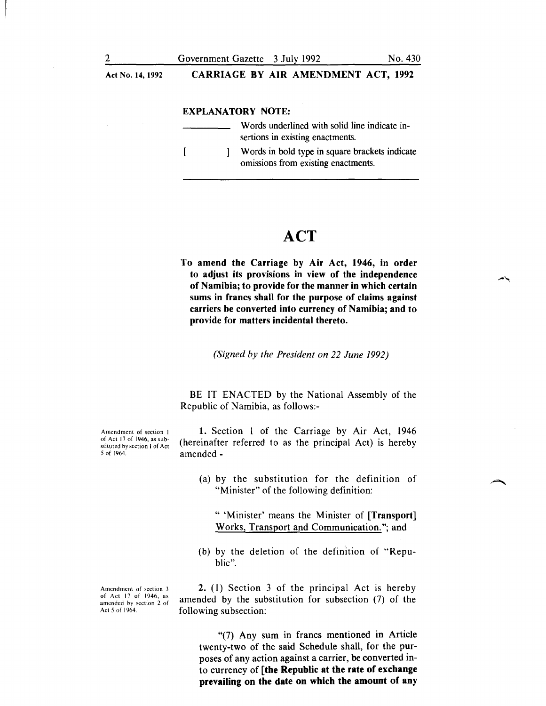Act No. 14, 1992

CARRIAGE BY AIR AMENDMENT ACT, 1992

#### EXPLANATORY NOTE:

| Words underlined with solid line indicate in-<br>sertions in existing enactments.     |
|---------------------------------------------------------------------------------------|
| Words in bold type in square brackets indicate<br>omissions from existing enactments. |

### **ACT**

To amend the Carriage by Air Act, 1946, in order to adjust its provisions in view of the independence of Namibia; to provide for the manner in which certain sums in francs shall for the purpose of claims against carriers be converted into currency of Namibia; and to provide for matters incidental thereto.

*(Signed by the President on 22 June 1992)* 

BE IT ENACTED by the National Assembly of the Republic of Namibia, as follows:-

1. Section I of the Carriage by Air Act, I946 (hereinafter referred to as the principal Act) is hereby amended-

(a) by the substitution for the definition of "Minister" of the following definition:

" 'Minister' means the Minister of [Transport] Works, Transport and Communication."; and

(b) by the deletion of the definition of "Republic".

2. (I) Section 3 of the principal Act is hereby amended by the substitution for subsection (7) of the following subsection:

"(7) Any sum in francs mentioned in Article twenty-two of the said Schedule shall, for the purposes of any action against a carrier, be converted into currency of [the Republic at the rate of exchange prevailing on the date on which the amount of any

Amendment of section I of Act 17 of 1946, as substituted by section I of Act 5 of 1964.

Amendment of section 3 of Act 17 of 1946, as amended by section 2 of Act 5 of 1964.